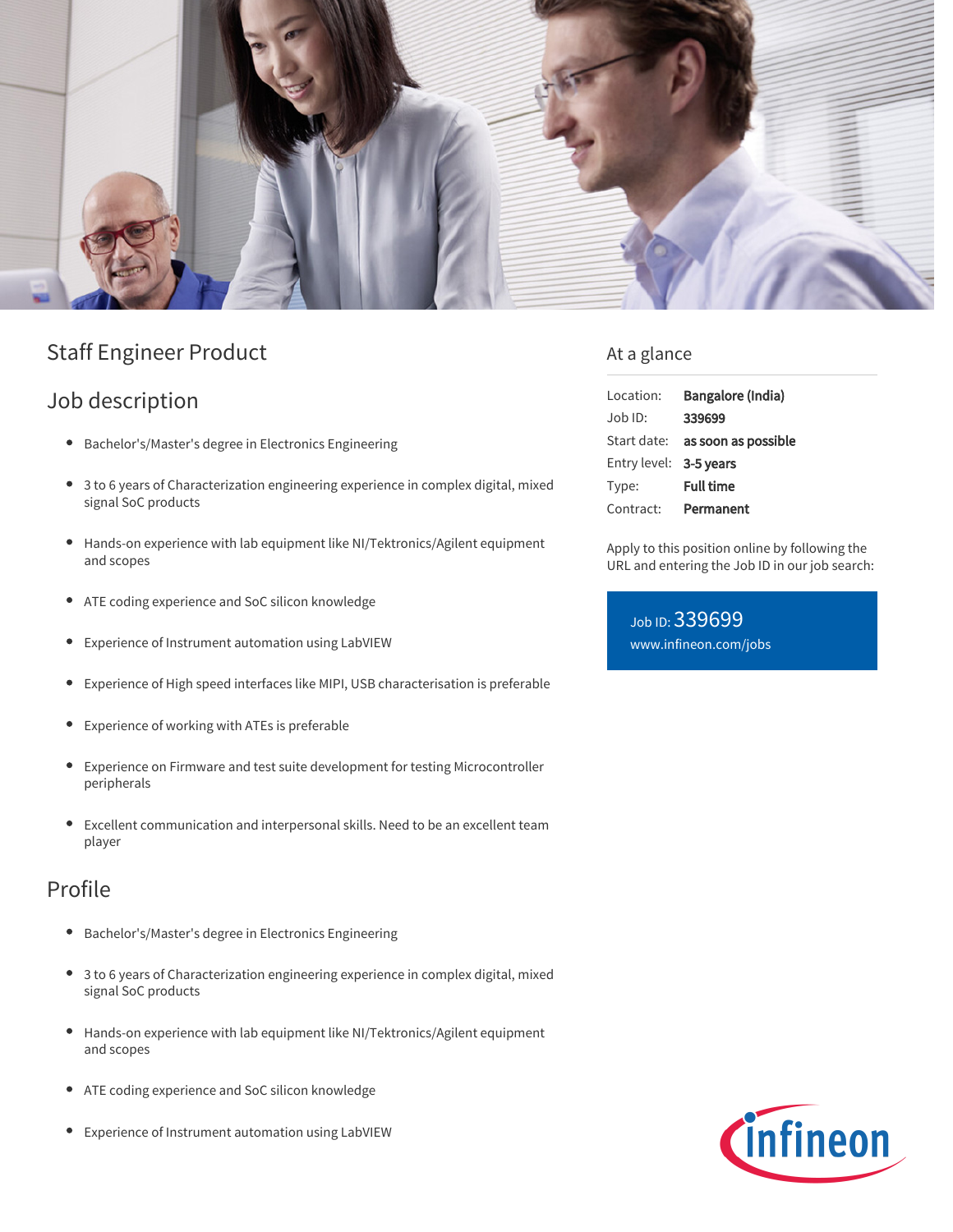

# Staff Engineer Product

# Job description

- Bachelor's/Master's degree in Electronics Engineering
- 3 to 6 years of Characterization engineering experience in complex digital, mixed signal SoC products
- $\bullet$ Hands-on experience with lab equipment like NI/Tektronics/Agilent equipment and scopes
- ATE coding experience and SoC silicon knowledge ٠
- Experience of Instrument automation using LabVIEW  $\bullet$
- Experience of High speed interfaces like MIPI, USB characterisation is preferable
- Experience of working with ATEs is preferable  $\bullet$
- Experience on Firmware and test suite development for testing Microcontroller  $\bullet$ peripherals
- Excellent communication and interpersonal skills. Need to be an excellent team  $\bullet$ player

### Profile

- Bachelor's/Master's degree in Electronics Engineering  $\bullet$
- 3 to 6 years of Characterization engineering experience in complex digital, mixed signal SoC products
- $\bullet$ Hands-on experience with lab equipment like NI/Tektronics/Agilent equipment and scopes
- ATE coding experience and SoC silicon knowledge
- Experience of Instrument automation using LabVIEW

### At a glance

| Location:              | Bangalore (India)                      |
|------------------------|----------------------------------------|
| Job ID:                | 339699                                 |
|                        | Start date: <b>as soon as possible</b> |
| Entry level: 3-5 years |                                        |
| Type:                  | <b>Full time</b>                       |
| Contract:              | Permanent                              |

Apply to this position online by following the URL and entering the Job ID in our job search:

Job ID: 339699 [www.infineon.com/jobs](https://www.infineon.com/jobs)